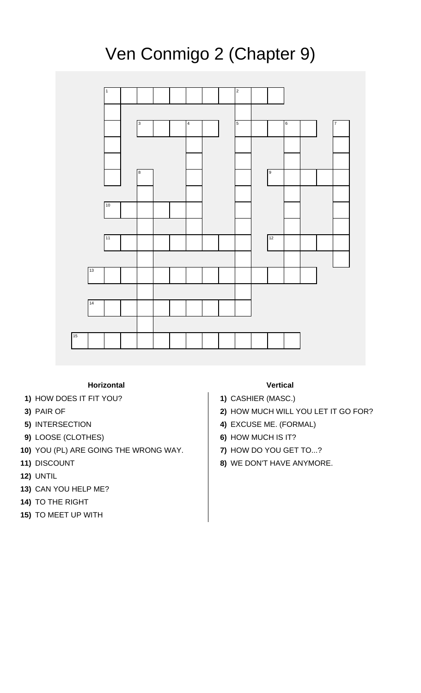## Ven Conmigo 2 (Chapter 9)



## **Horizontal Vertical**

- **1)** HOW DOES IT FIT YOU? **1)** CASHIER (MASC.)
- 
- 
- **9)** LOOSE (CLOTHES) **6)** HOW MUCH IS IT?
- **10)** YOU (PL) ARE GOING THE WRONG WAY. **7)** HOW DO YOU GET TO...?
- 
- **12)** UNTIL
- **13)** CAN YOU HELP ME?
- **14)** TO THE RIGHT
- **15)** TO MEET UP WITH

- 
- **3)** PAIR OF **2)** HOW MUCH WILL YOU LET IT GO FOR?
- **5)** INTERSECTION **4)** EXCUSE ME. (FORMAL)
	-
	-
- **11)** DISCOUNT **8)** WE DON'T HAVE ANYMORE.